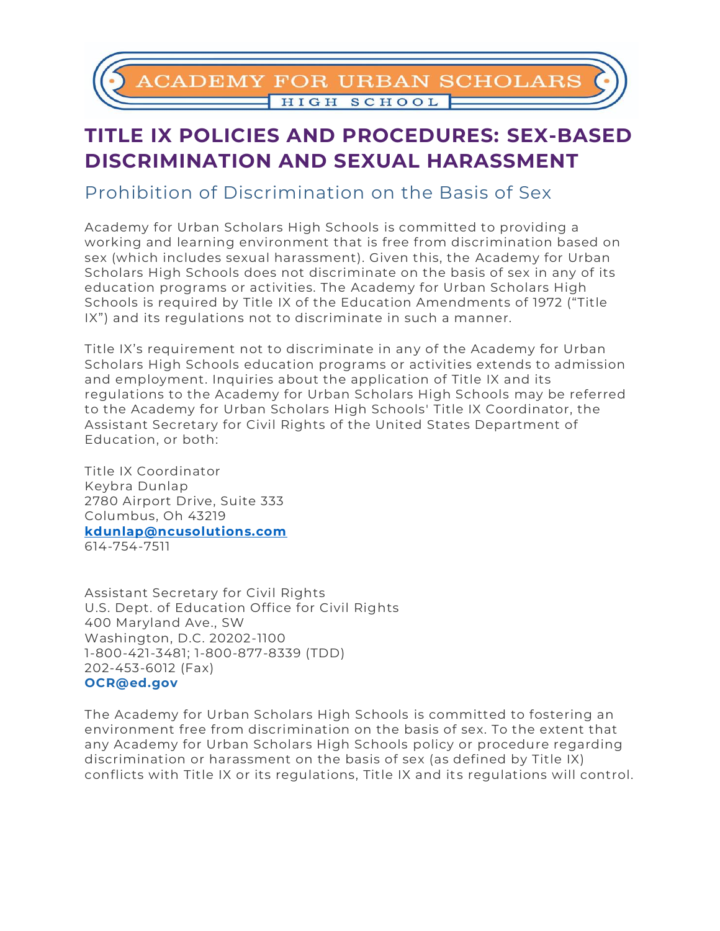

## **TITLE IX POLICIES AND PROCEDURES: SEX-BASED DISCRIMINATION AND SEXUAL HARASSMENT**

Prohibition of Discrimination on the Basis of Sex

Academy for Urban Scholars High Schools is committed to providing a working and learning environment that is free from discrimination based on sex (which includes sexual harassment). Given this, the Academy for Urban Scholars High Schools does not discriminate on the basis of sex in any of its education programs or activities. The Academy for Urban Scholars High Schools is required by Title IX of the Education Amendments of 1972 ("Title IX") and its regulations not to discriminate in such a manner.

Title IX's requirement not to discriminate in any of the Academy for Urban Scholars High Schools education programs or activities extends to admission and employment. Inquiries about the application of Title IX and its regulations to the Academy for Urban Scholars High Schools may be referred to the Academy for Urban Scholars High Schools' Title IX Coordinator, the Assistant Secretary for Civil Rights of the United States Department of Education, or both:

Title IX Coordinator Keybra Dunlap 2780 Airport Drive, Suite 333 Columbus, Oh 43219 **[kdunlap@ncusolutions.com](mailto:kdunlap@ncusolutions.com)** 614-754-7511

Assistant Secretary for Civil Rights U.S. Dept. of Education Office for Civil Rights 400 Maryland Ave., SW Washington, D.C. 20202-1100 1-800-421-3481; 1-800-877-8339 (TDD) 202-453-6012 (Fax) **[OCR@ed.gov](mailto:OCR@ed.gov)**

The Academy for Urban Scholars High Schools is committed to fostering an environment free from discrimination on the basis of sex. To the extent that any Academy for Urban Scholars High Schools policy or procedure regarding discrimination or harassment on the basis of sex (as defined by Title IX) conflicts with Title IX or its regulations, Title IX and its regulations will control.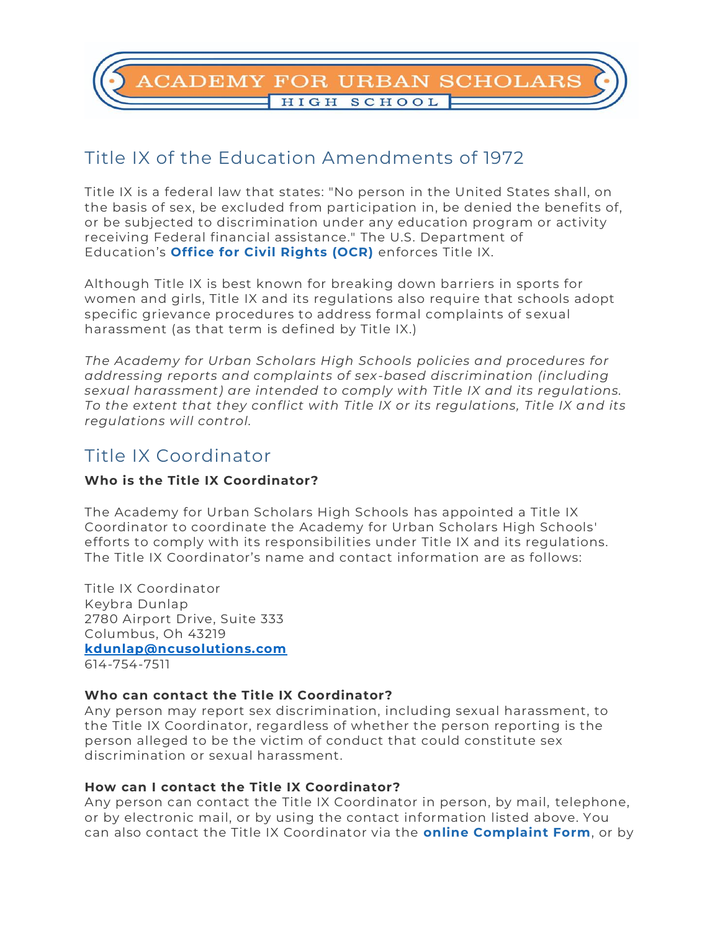**ADEMY FOR URBAN SCHOLARS** HIGH SCHOOL

### Title IX of the Education Amendments of 1972

Title IX is a federal law that states: "No person in the United States shall, on the basis of sex, be excluded from participation in, be denied the benefits of, or be subjected to discrimination under any education program or activity receiving Federal financial assistance." The U.S. Department of Education's **[Office for Civil Rights \(OCR\)](https://www2.ed.gov/about/offices/list/ocr/index.html)** enforces Title IX.

Although Title IX is best known for breaking down barriers in sports for women and girls, Title IX and its regulations also require that schools adopt specific grievance procedures to address formal complaints of sexual harassment (as that term is defined by Title IX.)

*The Academy for Urban Scholars High Schools policies and procedures for addressing reports and complaints of sex-based discrimination (including sexual harassment) are intended to comply with Title IX and its regulations. To the extent that they conflict with Title IX or its regulations, Title IX and its regulations will control.*

### Title IX Coordinator

### **Who is the Title IX Coordinator?**

The Academy for Urban Scholars High Schools has appointed a Title IX Coordinator to coordinate the Academy for Urban Scholars High Schools' efforts to comply with its responsibilities under Title IX and its regulations. The Title IX Coordinator's name and contact information are as follows:

Title IX Coordinator Keybra Dunlap 2780 Airport Drive, Suite 333 Columbus, Oh 43219 **[kdunlap@ncusolutions.com](mailto:kdunlap@ncusolutions.com)** 614-754-7511

### **Who can contact the Title IX Coordinator?**

Any person may report sex discrimination, including sexual harassment, to the Title IX Coordinator, regardless of whether the person reporting is the person alleged to be the victim of conduct that could constitute sex discrimination or sexual harassment.

#### **How can I contact the Title IX Coordinator?**

Any person can contact the Title IX Coordinator in person, by mail, telephone, or by electronic mail, or by using the contact information listed above. You can also contact the Title IX Coordinator via the **[online Complaint Form](https://docs.google.com/forms/d/e/1FAIpQLSeAEcsFPeG0tKJVbLuLP-9oPWz_6LtN9n9DPstuZ4uZrJoU6A/viewform?pli=1)**, or by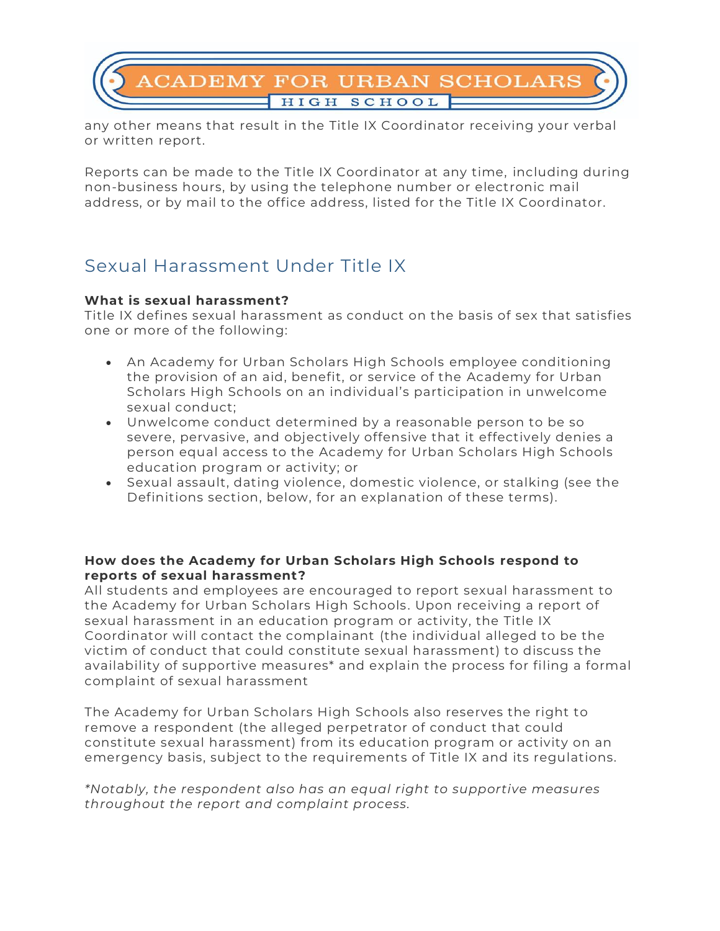# **CADEMY FOR URBAN SCHOLARS** HIGH SCHOOL

any other means that result in the Title IX Coordinator receiving your verbal or written report.

Reports can be made to the Title IX Coordinator at any time, including during non-business hours, by using the telephone number or electronic mail address, or by mail to the office address, listed for the Title IX Coordinator.

### Sexual Harassment Under Title IX

### **What is sexual harassment?**

Title IX defines sexual harassment as conduct on the basis of sex that satisfies one or more of the following:

- An Academy for Urban Scholars High Schools employee conditioning the provision of an aid, benefit, or service of the Academy for Urban Scholars High Schools on an individual's participation in unwelcome sexual conduct;
- Unwelcome conduct determined by a reasonable person to be so severe, pervasive, and objectively offensive that it effectively denies a person equal access to the Academy for Urban Scholars High Schools education program or activity; or
- Sexual assault, dating violence, domestic violence, or stalking (see the Definitions section, below, for an explanation of these terms).

### **How does the Academy for Urban Scholars High Schools respond to reports of sexual harassment?**

All students and employees are encouraged to report sexual harassment to the Academy for Urban Scholars High Schools. Upon receiving a report of sexual harassment in an education program or activity, the Title IX Coordinator will contact the complainant (the individual alleged to be the victim of conduct that could constitute sexual harassment) to discuss the availability of supportive measures\* and explain the process for filing a formal complaint of sexual harassment

The Academy for Urban Scholars High Schools also reserves the right to remove a respondent (the alleged perpetrator of conduct that could constitute sexual harassment) from its education program or activity on an emergency basis, subject to the requirements of Title IX and its regulations.

*\*Notably, the respondent also has an equal right to supportive measures throughout the report and complaint process.*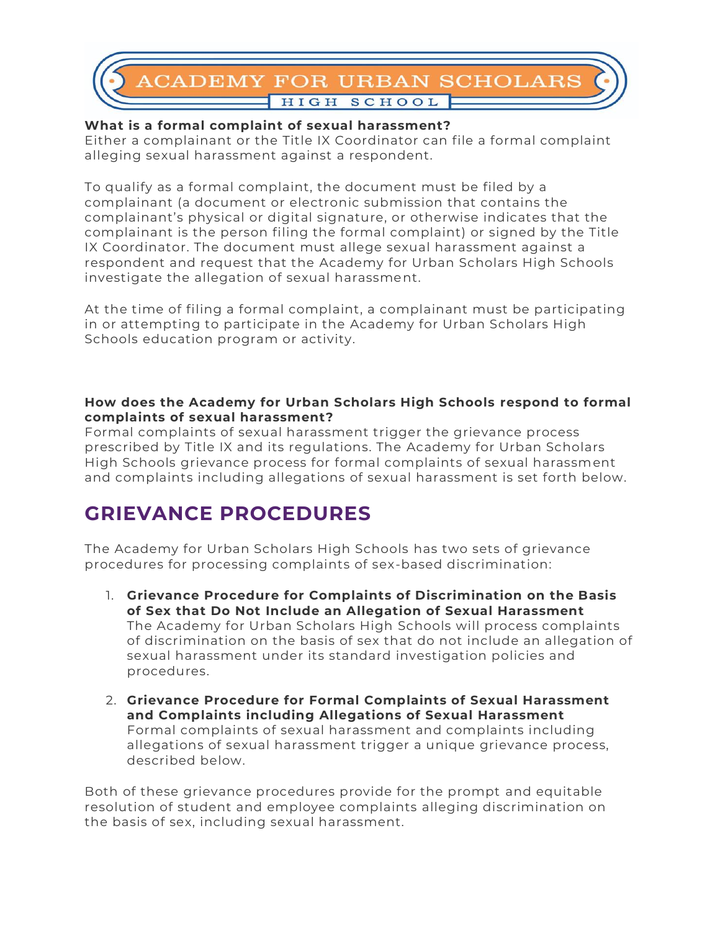# **CADEMY FOR URBAN SCHOLARS** HIGH SCHOOL

### **What is a formal complaint of sexual harassment?**

Either a complainant or the Title IX Coordinator can file a formal complaint alleging sexual harassment against a respondent.

To qualify as a formal complaint, the document must be filed by a complainant (a document or electronic submission that contains the complainant's physical or digital signature, or otherwise indicates that the complainant is the person filing the formal complaint) or signed by the Title IX Coordinator. The document must allege sexual harassment against a respondent and request that the Academy for Urban Scholars High Schools investigate the allegation of sexual harassment.

At the time of filing a formal complaint, a complainant must be participating in or attempting to participate in the Academy for Urban Scholars High Schools education program or activity.

### **How does the Academy for Urban Scholars High Schools respond to formal complaints of sexual harassment?**

Formal complaints of sexual harassment trigger the grievance process prescribed by Title IX and its regulations. The Academy for Urban Scholars High Schools grievance process for formal complaints of sexual harassment and complaints including allegations of sexual harassment is set forth below.

## **GRIEVANCE PROCEDURES**

The Academy for Urban Scholars High Schools has two sets of grievance procedures for processing complaints of sex-based discrimination:

- 1. **Grievance Procedure for Complaints of Discrimination on the Basis of Sex that Do Not Include an Allegation of Sexual Harassment** The Academy for Urban Scholars High Schools will process complaints of discrimination on the basis of sex that do not include an allegation of sexual harassment under its standard investigation policies and procedures.
- 2. **Grievance Procedure for Formal Complaints of Sexual Harassment and Complaints including Allegations of Sexual Harassment** Formal complaints of sexual harassment and complaints including allegations of sexual harassment trigger a unique grievance process, described below.

Both of these grievance procedures provide for the prompt and equitable resolution of student and employee complaints alleging discrimination on the basis of sex, including sexual harassment.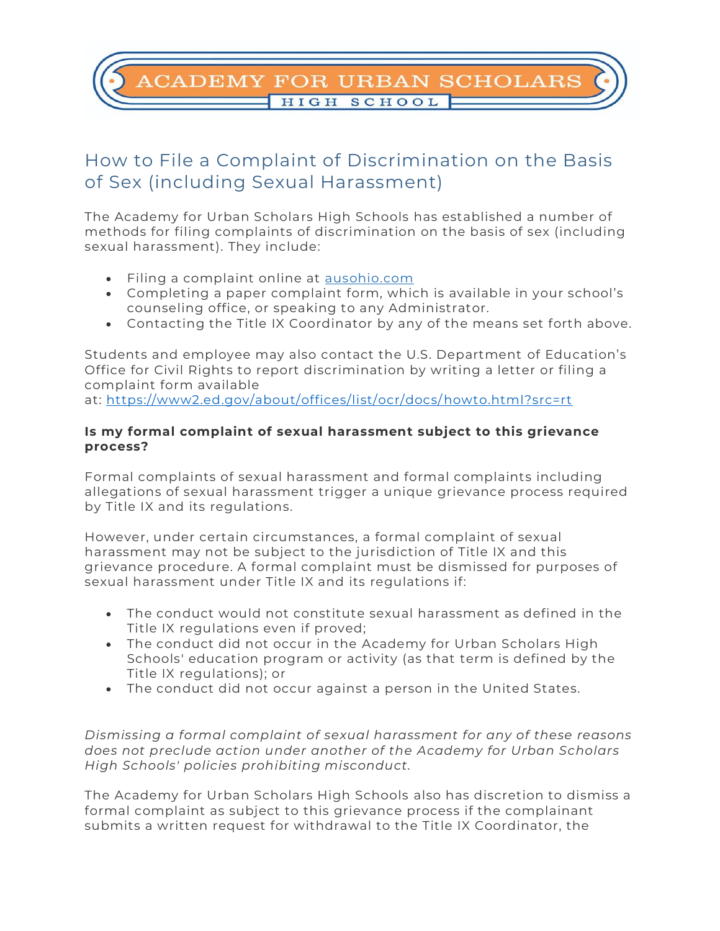### **CADEMY FOR URBAN SCHOLARS** HIGH SCHOOL

### How to File a Complaint of Discrimination on the Basis of Sex (including Sexual Harassment)

The Academy for Urban Scholars High Schools has established a number of methods for filing complaints of discrimination on the basis of sex (including sexual harassment). They include:

- Filing a complaint online at **ausohio.com**
- Completing a paper complaint form, which is available in your school's counseling office, or speaking to any Administrator.
- Contacting the Title IX Coordinator by any of the means set forth above.

Students and employee may also contact the U.S. Department of Education's Office for Civil Rights to report discrimination by writing a letter or filing a complaint form available

at: <https://www2.ed.gov/about/offices/list/ocr/docs/howto.html?src=rt>

### **Is my formal complaint of sexual harassment subject to this grievance process?**

Formal complaints of sexual harassment and formal complaints including allegations of sexual harassment trigger a unique grievance process required by Title IX and its regulations.

However, under certain circumstances, a formal complaint of sexual harassment may not be subject to the jurisdiction of Title IX and this grievance procedure. A formal complaint must be dismissed for purposes of sexual harassment under Title IX and its regulations if:

- The conduct would not constitute sexual harassment as defined in the Title IX regulations even if proved;
- The conduct did not occur in the Academy for Urban Scholars High Schools' education program or activity (as that term is defined by the Title IX regulations); or
- The conduct did not occur against a person in the United States.

*Dismissing a formal complaint of sexual harassment for any of these reasons does not preclude action under another of the Academy for Urban Scholars High Schools' policies prohibiting misconduct.*

The Academy for Urban Scholars High Schools also has discretion to dismiss a formal complaint as subject to this grievance process if the complainant submits a written request for withdrawal to the Title IX Coordinator, the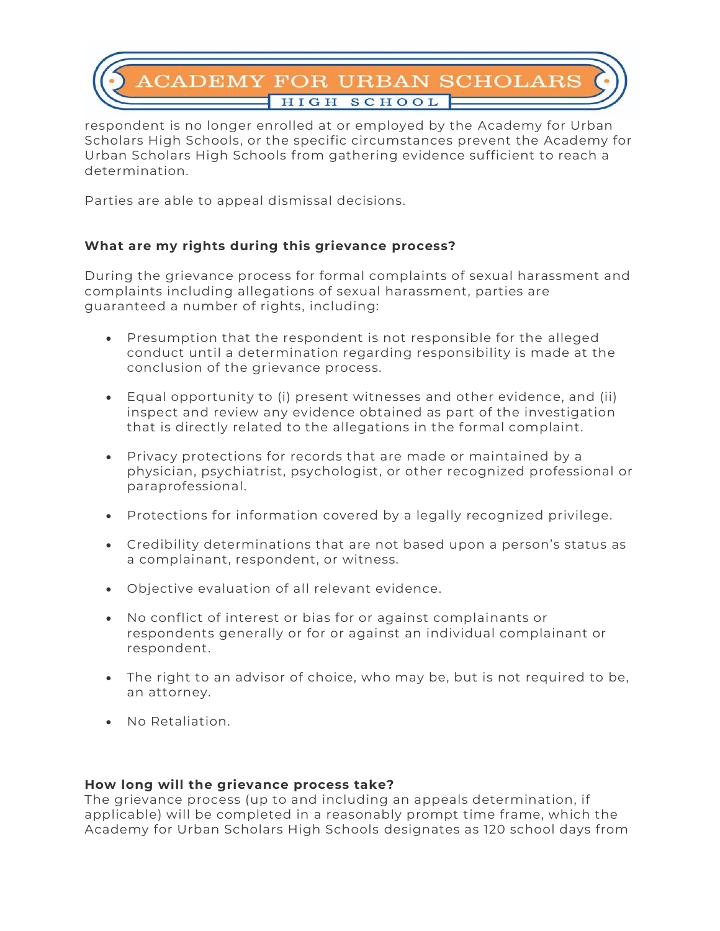

respondent is no longer enrolled at or employed by the Academy for Urban Scholars High Schools, or the specific circumstances prevent the Academy for Urban Scholars High Schools from gathering evidence sufficient to reach a determination.

Parties are able to appeal dismissal decisions.

### **What are my rights during this grievance process?**

During the grievance process for formal complaints of sexual harassment and complaints including allegations of sexual harassment, parties are guaranteed a number of rights, including:

- Presumption that the respondent is not responsible for the alleged conduct until a determination regarding responsibility is made at the conclusion of the grievance process.
- Equal opportunity to (i) present witnesses and other evidence, and (ii) inspect and review any evidence obtained as part of the investigation that is directly related to the allegations in the formal complaint.
- Privacy protections for records that are made or maintained by a physician, psychiatrist, psychologist, or other recognized professional or paraprofessional.
- Protections for information covered by a legally recognized privilege.
- Credibility determinations that are not based upon a person's status as a complainant, respondent, or witness.
- Objective evaluation of all relevant evidence.
- No conflict of interest or bias for or against complainants or respondents generally or for or against an individual complainant or respondent.
- The right to an advisor of choice, who may be, but is not required to be, an attorney.
- No Retaliation.

#### **How long will the grievance process take?**

The grievance process (up to and including an appeals determination, if applicable) will be completed in a reasonably prompt time frame, which the Academy for Urban Scholars High Schools designates as 120 school days from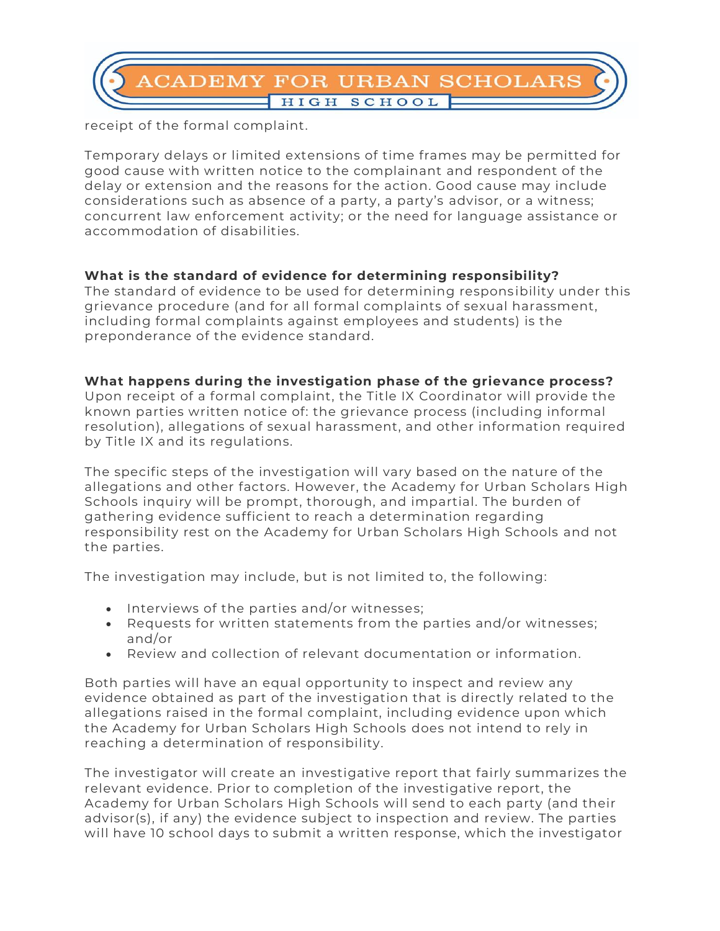

receipt of the formal complaint.

Temporary delays or limited extensions of time frames may be permitted for good cause with written notice to the complainant and respondent of the delay or extension and the reasons for the action. Good cause may include considerations such as absence of a party, a party's advisor, or a witness; concurrent law enforcement activity; or the need for language assistance or accommodation of disabilities.

### **What is the standard of evidence for determining responsibility?**

The standard of evidence to be used for determining responsibility under this grievance procedure (and for all formal complaints of sexual harassment, including formal complaints against employees and students) is the preponderance of the evidence standard.

### **What happens during the investigation phase of the grievance process?**

Upon receipt of a formal complaint, the Title IX Coordinator will provide the known parties written notice of: the grievance process (including informal resolution), allegations of sexual harassment, and other information required by Title IX and its regulations.

The specific steps of the investigation will vary based on the nature of the allegations and other factors. However, the Academy for Urban Scholars High Schools inquiry will be prompt, thorough, and impartial. The burden of gathering evidence sufficient to reach a determination regarding responsibility rest on the Academy for Urban Scholars High Schools and not the parties.

The investigation may include, but is not limited to, the following:

- Interviews of the parties and/or witnesses;
- Requests for written statements from the parties and/or witnesses; and/or
- Review and collection of relevant documentation or information.

Both parties will have an equal opportunity to inspect and review any evidence obtained as part of the investigation that is directly related to the allegations raised in the formal complaint, including evidence upon which the Academy for Urban Scholars High Schools does not intend to rely in reaching a determination of responsibility.

The investigator will create an investigative report that fairly summarizes the relevant evidence. Prior to completion of the investigative report, the Academy for Urban Scholars High Schools will send to each party (and their advisor(s), if any) the evidence subject to inspection and review. The parties will have 10 school days to submit a written response, which the investigator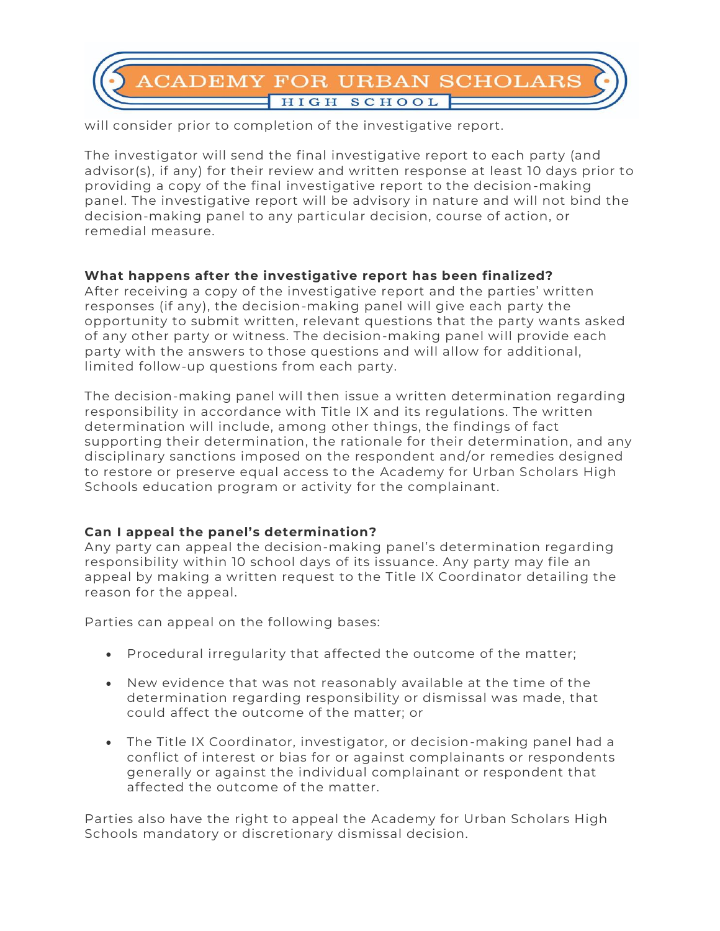

will consider prior to completion of the investigative report.

The investigator will send the final investigative report to each party (and advisor(s), if any) for their review and written response at least 10 days prior to providing a copy of the final investigative report to the decision-making panel. The investigative report will be advisory in nature and will not bind the decision-making panel to any particular decision, course of action, or remedial measure.

### **What happens after the investigative report has been finalized?**

After receiving a copy of the investigative report and the parties' written responses (if any), the decision-making panel will give each party the opportunity to submit written, relevant questions that the party wants asked of any other party or witness. The decision-making panel will provide each party with the answers to those questions and will allow for additional, limited follow-up questions from each party.

The decision-making panel will then issue a written determination regarding responsibility in accordance with Title IX and its regulations. The written determination will include, among other things, the findings of fact supporting their determination, the rationale for their determination, and any disciplinary sanctions imposed on the respondent and/or remedies designed to restore or preserve equal access to the Academy for Urban Scholars High Schools education program or activity for the complainant.

### **Can I appeal the panel's determination?**

Any party can appeal the decision-making panel's determination regarding responsibility within 10 school days of its issuance. Any party may file an appeal by making a written request to the Title IX Coordinator detailing the reason for the appeal.

Parties can appeal on the following bases:

- Procedural irregularity that affected the outcome of the matter;
- New evidence that was not reasonably available at the time of the determination regarding responsibility or dismissal was made, that could affect the outcome of the matter; or
- The Title IX Coordinator, investigator, or decision-making panel had a conflict of interest or bias for or against complainants or respondents generally or against the individual complainant or respondent that affected the outcome of the matter.

Parties also have the right to appeal the Academy for Urban Scholars High Schools mandatory or discretionary dismissal decision.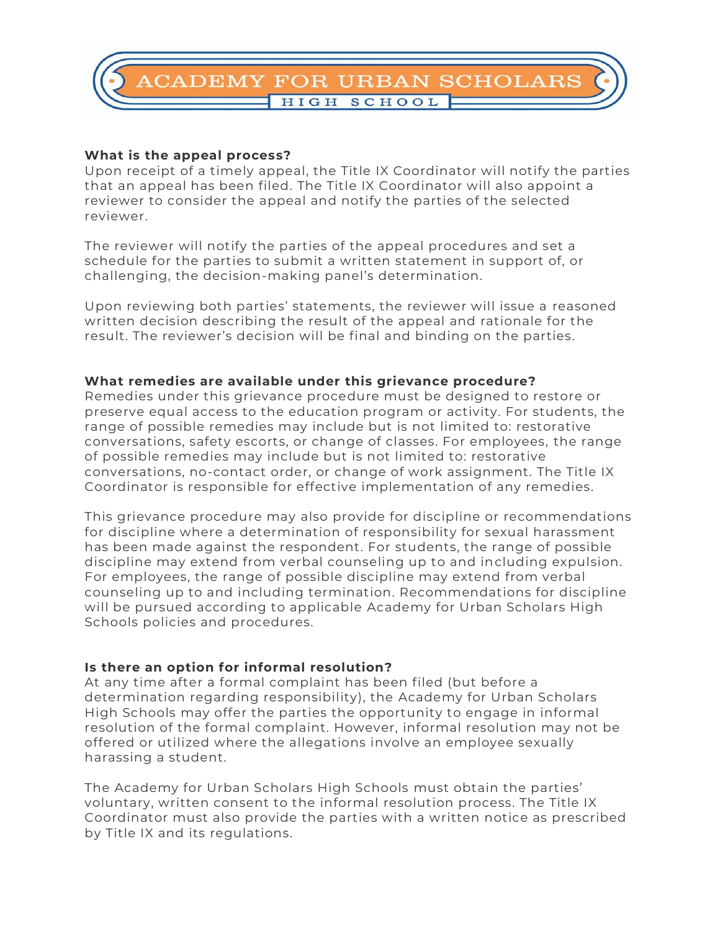

#### **What is the appeal process?**

Upon receipt of a timely appeal, the Title IX Coordinator will notify the parties that an appeal has been filed. The Title IX Coordinator will also appoint a reviewer to consider the appeal and notify the parties of the selected reviewer.

The reviewer will notify the parties of the appeal procedures and set a schedule for the parties to submit a written statement in support of, or challenging, the decision-making panel's determination.

Upon reviewing both parties' statements, the reviewer will issue a reasoned written decision describing the result of the appeal and rationale for the result. The reviewer's decision will be final and binding on the parties.

#### **What remedies are available under this grievance procedure?**

Remedies under this grievance procedure must be designed to restore or preserve equal access to the education program or activity. For students, the range of possible remedies may include but is not limited to: restorative conversations, safety escorts, or change of classes. For employees, the range of possible remedies may include but is not limited to: restorative conversations, no-contact order, or change of work assignment. The Title IX Coordinator is responsible for effective implementation of any remedies.

This grievance procedure may also provide for discipline or recommendations for discipline where a determination of responsibility for sexual harassment has been made against the respondent. For students, the range of possible discipline may extend from verbal counseling up to and including expulsion. For employees, the range of possible discipline may extend from verbal counseling up to and including termination. Recommendations for discipline will be pursued according to applicable Academy for Urban Scholars High Schools policies and procedures.

#### **Is there an option for informal resolution?**

At any time after a formal complaint has been filed (but before a determination regarding responsibility), the Academy for Urban Scholars High Schools may offer the parties the opportunity to engage in informal resolution of the formal complaint. However, informal resolution may not be offered or utilized where the allegations involve an employee sexually harassing a student.

The Academy for Urban Scholars High Schools must obtain the parties' voluntary, written consent to the informal resolution process. The Title IX Coordinator must also provide the parties with a written notice as prescribed by Title IX and its regulations.